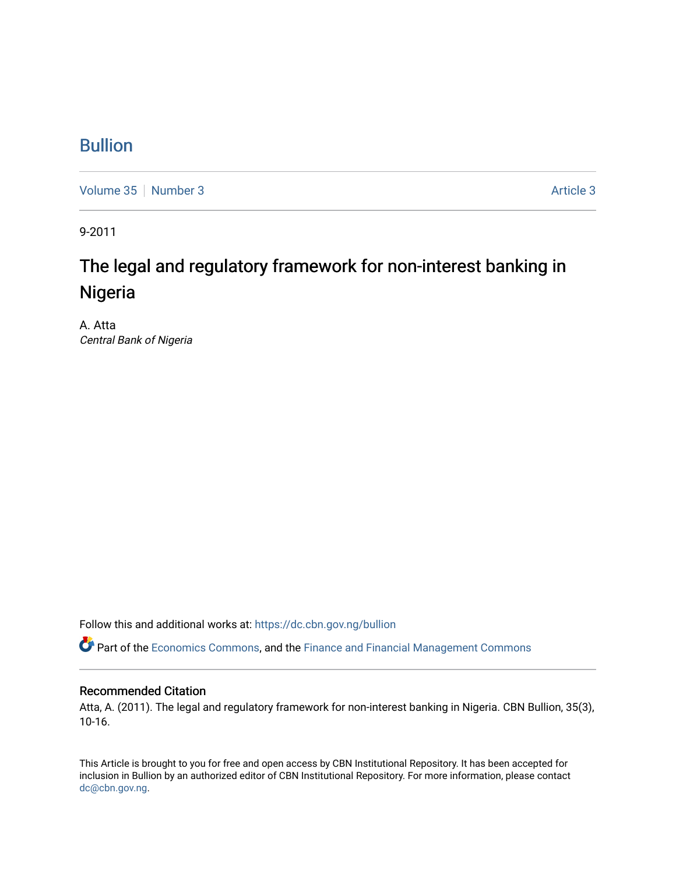### [Bullion](https://dc.cbn.gov.ng/bullion)

[Volume 35](https://dc.cbn.gov.ng/bullion/vol35) [Number 3](https://dc.cbn.gov.ng/bullion/vol35/iss3) Article 3

9-2011

# The legal and regulatory framework for non-interest banking in Nigeria

A. Atta Central Bank of Nigeria

Follow this and additional works at: [https://dc.cbn.gov.ng/bullion](https://dc.cbn.gov.ng/bullion?utm_source=dc.cbn.gov.ng%2Fbullion%2Fvol35%2Fiss3%2F3&utm_medium=PDF&utm_campaign=PDFCoverPages) 

Part of the [Economics Commons](http://network.bepress.com/hgg/discipline/340?utm_source=dc.cbn.gov.ng%2Fbullion%2Fvol35%2Fiss3%2F3&utm_medium=PDF&utm_campaign=PDFCoverPages), and the [Finance and Financial Management Commons](http://network.bepress.com/hgg/discipline/631?utm_source=dc.cbn.gov.ng%2Fbullion%2Fvol35%2Fiss3%2F3&utm_medium=PDF&utm_campaign=PDFCoverPages) 

#### Recommended Citation

Atta, A. (2011). The legal and regulatory framework for non-interest banking in Nigeria. CBN Bullion, 35(3), 10-16.

This Article is brought to you for free and open access by CBN Institutional Repository. It has been accepted for inclusion in Bullion by an authorized editor of CBN Institutional Repository. For more information, please contact [dc@cbn.gov.ng](mailto:dc@cbn.gov.ng).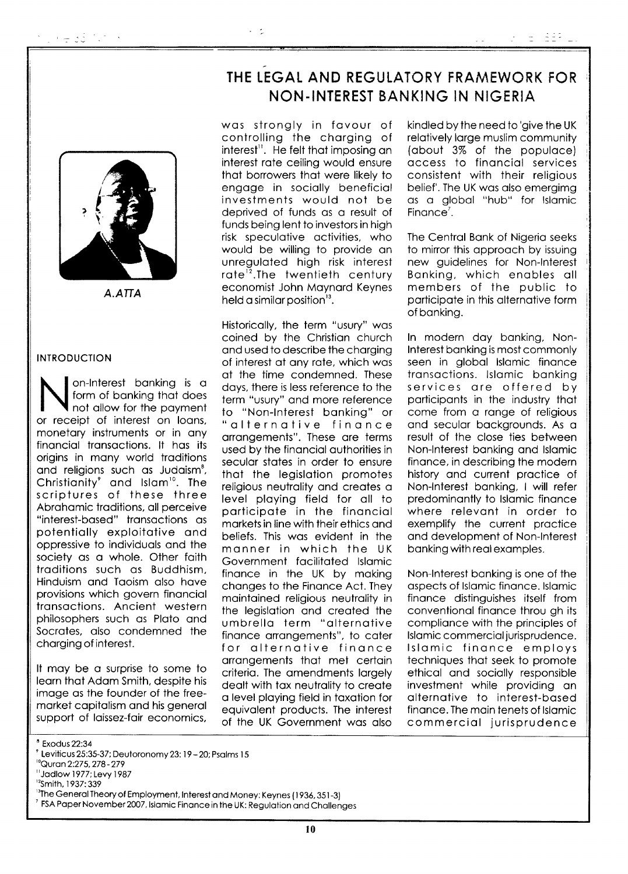

 $A.$ ATTA

#### **INTRODUCTION**

on-Interest banking is a form of banking that does not allow for the payment or receipt of interest on loans. monetary instruments or in any financial transactions. It has its origins in many world traditions and religions such as Judaism<sup>8</sup>, Christianity<sup>9</sup> and Islam<sup>10</sup>. The<br>scriptures of these three Abrahamic traditions, all perceive "interest-based" transactions as potentially exploitative and oppressive to individuals and the society as a whole. Other faith traditions such as Buddhism, Hinduism and Taoism also have provisions which govern financial transactions. Ancient western philosophers such as Plato and Socrates, also condemned the charging of interest.

It may be a surprise to some to learn that Adam Smith, despite his image as the founder of the freemarket capitalism and his general support of laissez-fair economics,

## THE LEGAL AND REGULATORY FRAMEWORK FOR NON-INTEREST BANKING IN NIGERIA

was stronaly in favour of controlling the charging of interest<sup>11</sup>. He felt that imposing an interest rate ceiling would ensure that borrowers that were likely to engage in socially beneficial investments would not be deprived of funds as a result of funds being lent to investors in high risk speculative activities, who would be willing to provide an unreaulated high risk interest rate<sup>12</sup>. The twentieth century economist John Maynard Keynes held a similar position $3$ .

 $\omega = \sigma_{\rm c}$ 

Historically, the term "usury" was coined by the Christian church and used to describe the charging of interest at any rate, which was at the time condemned. These days, there is less reference to the term "usury" and more reference to "Non-Interest banking" or "alternative finance arrangements". These are terms used by the financial authorities in secular states in order to ensure that the legislation promotes religious neutrality and creates a level playing field for all to participate in the financial markets in line with their ethics and beliefs. This was evident in the manner in which the UK Government facilitated Islamic finance in the UK by making changes to the Finance Act. They maintained religious neutrality in the legislation and created the umbrella term "alternative finance arrangements", to cater for alternative finance arrangements that met certain criteria. The amendments largely dealt with tax neutrality to create a level playing field in taxation for equivalent products. The interest of the UK Government was also kindled by the need to 'aive the UK relatively large muslim community (about 3% of the populace) access to financial services consistent with their religious belief'. The UK was also emergimg as a global "hub" for Islamic Finance<sup> $7$ </sup>.

laas Li

The Central Bank of Nigeria seeks to mirror this approach by issuing new quidelines for Non-Interest Banking, which enables all members of the public to participate in this alternative form of bankina.

In modern day banking, Non-Interest banking is most commonly seen in global Islamic finance transactions. Islamic banking services are offered by participants in the industry that come from a range of religious and secular backgrounds. As a result of the close ties between Non-Interest banking and Islamic finance, in describing the modern history and current practice of Non-Interest banking, I will refer predominantly to Islamic finance where relevant in order to exemplify the current practice and development of Non-Interest banking with real examples.

Non-Interest banking is one of the aspects of Islamic finance, Islamic finance distinguishes itself from conventional finance throu gh its compliance with the principles of Islamic commercial jurisprudence. Islamic finance employs techniques that seek to promote ethical and socially responsible investment while providing an alternative to interest-based finance. The main tenets of Islamic commercial jurisprudence

<sup>8</sup> Exodus 22:34

- "Jadlow 1977; Levy 1987
- <sup>12</sup>Smith, 1937: 339

<sup>&</sup>lt;sup>2</sup> Leviticus 25:35-37; Deutoronomy 23: 19 - 20; Psalms 15

<sup>&</sup>lt;sup>10</sup>Quran 2:275, 278 - 279

<sup>&</sup>lt;sup>13</sup>The General Theory of Employment, Interest and Money: Keynes (1936, 351-3)

FSA Paper November 2007, Islamic Finance in the UK: Regulation and Challenges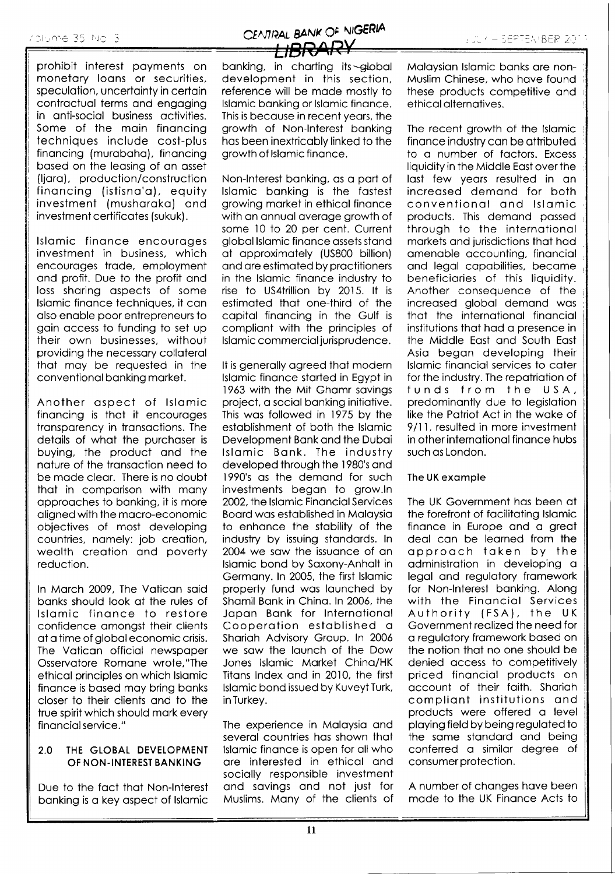prohibit interest payments on monetary loans or securities, speculation, uncertainty in certain contractual terms and engaging in anti-social business activities. Some of the main financing techniques include cost-plus financing (murabaha), financing based on the leasing of an asset (liara), production/construction financing (istisna'a), equity investment (musharaka) and investment certificates (sukuk).

Islamic finance encourages investment in business, which encourages trade, employment and profit. Due to the profit and loss sharing aspects of some Islamic finance techniques, it can also enable poor entrepreneurs to gain access to funding to set up their own businesses, without providing the necessary collateral that may be requested in the conventional banking market.

Another aspect of Islamic financina is that it encourages transparency in transactions. The details of what the purchaser is buying, the product and the nature of the transaction need to be made clear. There is no doubt that in comparison with many approaches to banking, it is more aligned with the macro-economic objectives of most developing countries, namely; job creation, wealth creation and poverty reduction.

In March 2009, The Vatican said banks should look at the rules of Islamic finance to restore confidence amongst their clients at a time of global economic crisis. The Vatican official newspaper Osservatore Romane wrote,"The ethical principles on which Islamic finance is based may bring banks closer to their clients and to the true spirit which should mark every financial service."

#### THE GLOBAL DEVELOPMENT  $2.0$ OF NON-INTEREST BANKING

Due to the fact that Non-Interest banking is a key aspect of Islamic

banking, in charting its -global development in this section, reference will be made mostly to Islamic banking or Islamic finance. This is because in recent years, the growth of Non-Interest banking has been inextricably linked to the growth of Islamic finance.

Non-Interest banking, as a part of Islamic banking is the fastest growing market in ethical finance with an annual average growth of some 10 to 20 per cent. Current global Islamic finance assets stand at approximately (US800 billion) and are estimated by practitioners in the Islamic finance industry to rise to US4trillion by 2015. It is estimated that one-third of the capital financing in the Gulf is compliant with the principles of Islamic commercial jurisprudence.

It is generally agreed that modern Islamic finance started in Egypt in 1963 with the Mit Ghamr savings project, a social banking initiative. This was followed in 1975 by the establishment of both the Islamic Development Bank and the Dubai Islamic Bank. The industry developed through the 1980's and 1990's as the demand for such investments began to grow.In 2002, the Islamic Financial Services Board was established in Malaysia to enhance the stability of the industry by issuing standards. In 2004 we saw the issuance of an Islamic bond by Saxony-Anhalt in Germany. In 2005, the first Islamic property fund was launched by Shamil Bank in China. In 2006, the Japan Bank for International Cooperation established a Shariah Advisory Group. In 2006 we saw the launch of the Dow Jones Islamic Market China/HK Titans Index and in 2010, the first Islamic bond issued by Kuveyt Turk, in Turkey.

The experience in Malaysia and several countries has shown that Islamic finance is open for all who are interested in ethical and socially responsible investment and savings and not just for Muslims. Many of the clients of Malaysian Islamic banks are non-Muslim Chinese, who have found these products competitive and ethical alternatives.

The recent growth of the Islamic finance industry can be attributed to a number of factors. Excess liquidity in the Middle East over the last few years resulted in an increased demand for both conventional and Islamic products. This demand passed through to the international markets and jurisdictions that had amenable accounting, financial and legal capabilities, became beneficiaries of this liquidity. Another consequence of the increased alobal demand was that the international financial institutions that had a presence in the Middle East and South East Asia began developing their Islamic financial services to cater for the industry. The repatriation of funds from the USA, predominantly due to legislation like the Patriot Act in the wake of 9/11, resulted in more investment in other international finance hubs such as London.

#### The UK example

The UK Government has been at the forefront of facilitating Islamic finance in Europe and a great deal can be learned from the approach taken by the administration in developing a legal and regulatory framework for Non-Interest banking. Along with the Financial Services Authority (FSA), the UK Government realized the need for a regulatory framework based on the notion that no one should be denied access to competitively priced financial products on account of their faith. Shariah compliant institutions and products were offered a level playing field by being regulated to the same standard and being conferred a similar degree of consumer protection.

A number of changes have been made to the UK Finance Acts to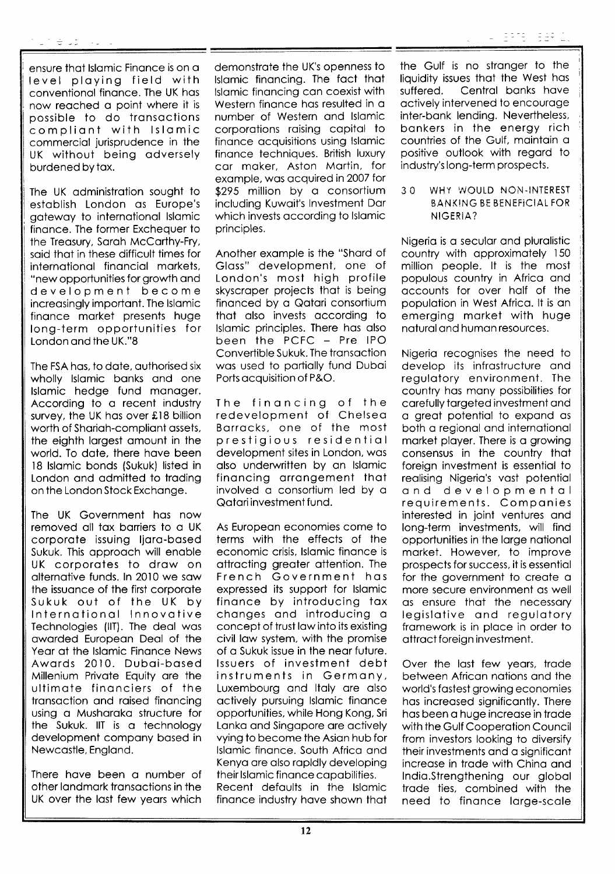ensure thot lslomic Finonce is on o level ploying field with conventionol finonce. The UK hos now reoched o point where it is possible to do transactions compliont with lslomic commerciol jurisprudence in the UK without being odversely burdened by tox.

The UK odministrotion sought to estoblish London os Europe's gotewoy to internotionol lslomic finonce. The former Exchequer to the Treosury, Soroh McCorthy-Fry, soid thot in these difficult times for internotionol finonciol morkets, "new opportunities for growth ond development become increosingly importont. The lslomic finonce morket presents huge long-term opportunities for London ond the UK."8

The FSA has, to date, authorised six wholly Islamic banks and one lslomic hedge fund monoger. According to o recent industry survey, the UK has over  $£18$  billion worth of Shariah-compliant assets, the eighth lorgest omount in the world. To date, there have been 18 Islamic bonds (Sukuk) listed in London ond odmitted to troding on the London Stock Exchonge.

The UK Government hos now removed oll tox borriers to o UK corporate issuing ljara-based Sukuk. This approach will enable UK corporotes to drow on olternotive funds. ln 2010 we sow the issuonce of the first corporote Sukuk out of the UK by lnternotionol lnnovotive Technologies (llT). The deol wos oworded Europeon Deol of the Year at the Islamic Finance News Awords 2010. Duboi-bosed Millenium Privote Equity ore the ultimote finonciers of the tronsoction ond roised finoncing using o Mushoroko structure for the Sukuk. llT is o technology development compony bosed in Newcastle, England.

There have been a number of other londmork tronsoctions in the UK over the lost few yeors which

demonstrate the UK's openness to lslomic finoncing. The foct thot lslomic finoncing con coexist with Western finonce hos resulted in o number of Western ond lslomic corporotions roising copitol to finonce ocquisitions using lslomic finonce techniques. British luxury cor moker, Aston Mortin, for exomple, wos ocquired in 2007 for \$295 million by a consortium including Kuwoit's lnvestment Dor which invests occording to lslomic principles.

Another exomple is the "Shord of Gloss" development, one of London's most high profile skyscroper projects thot is being finonced by o Qotori consortium that also invests according to lslomic principles. There hos olso been the PCFC - Pre IPO Convertible Sukuk. The transaction was used to partially fund Dubai Ports ocquisition of P&O.

The finoncing of the redevelopment of Chelseo Borrocks, one of the most prestigious residential development sites in London, wos olso underwritten by on lslomic <sup>f</sup>inoncing orrongement thot involved o consortium led by o Qotori investment fund.

As Europeon economies come to terms with the effects of the economic crisis, Islamic finance is ottrocting greoter ottention. The French Government hos expressed its support for lslomic <sup>f</sup>inonce by introducing tox chonges ond introducing <sup>o</sup> concept of trust law into its existing civil low system, with the promise of o Sukuk issue in lhe neor future. lssuers of investment debt instruments in Germony, Luxembourg and Italy are also octively pursuing lslomic finonce opportunities, while Hong Kong, Sri Lanka and Singapore are actively vying to become the Asion hub for lslomic finonce. South Africo ond Kenya are also rapidly developing their lslomic finonce copobilities. Recent defoults in the lslomic finance industry have shown that

the Gulf is no stranger to the liquidity issues that the West has<br>suffered. Central banks have Central banks have octively intervened to encouroge inter-bonk lending. Nevertheless, bonkers in the energy rich countries of the Gulf, mointoin o positive outlook with regord to industry's long-term prospects.

30 WHY WOULD NON-INTEREST BANKING BE BENEFICIAL FOR NIGERiA?

Nigerio is o seculor ond plurolistic country with opproximotely <sup>150</sup> million people. lt is the most populous country in Africa and occounts for over holf of the populotion in West Africo. lt is on emerging morket with huge noturol ond humon resources.

Nigerio recognises the need to develop its infrostructure ond regulotory environment. The country hos mony possibilities for corefully torgeted investment ond o greot potentiol to expond os both o regionol ond internotionol morket ployer. There is o growing consensus in the country thot foreign investment is essentiol to realising Nigeria's vast potential ond developmentol requirements. Componies interested in joint ventures ond long-term investments, will find opportunities in the lorge notionol morket. However, to improve prospects for success, it is essentiol for the government to creote o more secure environment os well os ensure thot the necessory legislotive ond regulotory framework is in place in order to ottroct foreign investment.

Over the lost few yeors, trode between Africon notions ond the world's fostest growing economies hos increosed significontly. There has been a huge increase in trade with the Gulf Cooperotion Council from investors looking to diversify their investments ond o significont increose in trode with Chino ond lndio.Strengthening our globol trode ties, combined with the need to finonce lorge-scole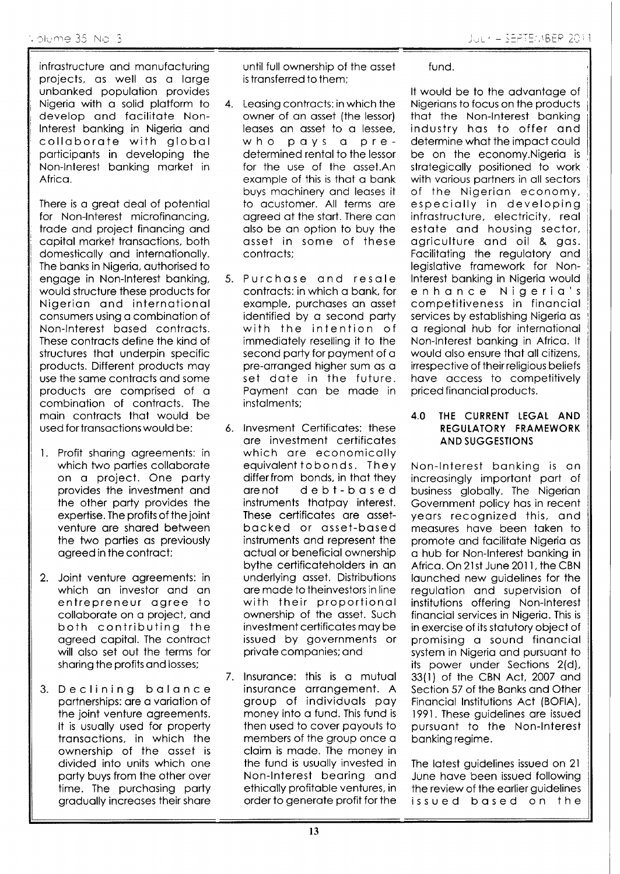infrostructure ond monufocturing projects, os well os o lorge unbonked populotion provides Nigeria with a solid platform to develop ond focilitote Non-Interest banking in Nigeria and colloborote with globol porticiponts in developing the Non-lnterest bonking morket in Africa.

There is a great deal of potential for Non-lnterest microfinoncing, trode ond project finoncing ond copitol morket tronsoctions, both domesticolly ond internotionolly. The banks in Nigeria, authorised to engoge in Non-lnterest bonking, would structure these products for Nigerion ond internotionol consumers using o combinotion of Non-lnterest bosed controcts. These controcts define the kind of structures thot underpin specific products. Different products moy use the some controcts ond some products ore comprised of <sup>o</sup> combinotion of controcts. The moin controcts thot would be used for transactions would be:

- Profit shoring ogreements: in 1. which two parties collaborate on o project. One porty provides the investment ond the other porty provides the expertise. The profits of the joint venture are shared between the two parties as previously ogreed in the controct;
- 2. Joint venture ogreements: in which on investor ond on entrepreneur ogree to collaborate on a project, and both contributing the ogreed copitol. The controct will olso set out the terms for shoring the profits ond losses;
- 3. Declining bolonce partnerships: are a variation of the joint venture ogreements. It is usuolly used for property tronsoctions, in which the ownership of the osset is divided into units which one porty buys from the other over time. The purchosing porty groduolly increoses their shore

until full ownership of the osset is transferred to them;

- 4. Leasing contracts: in which the owner of on osset (the lessor) leases an asset to a lessee,<br>who pays a prepays a predetermined rental to the lessor for the use of the osset.An exomple of this is thot o bonk buys mochinery ond leoses it to ocustomer. All terms ore ogreed of the stort. There con also be an option to buy the osset in some of these controcts;
- 5. Purchose ond resole controcts: in which o bonk, for exomple, purchoses on osset identified by a second party with the intention of immediotely reselling it to the second porty for poyment of o pre-orronged higher sum os o set dote in the future. Poyment con be mode in instolments;
- 6. lnvesment Certificotes: these ore investment certificotes which ore economicolly equivolent tobonds. They differfrom bonds, in thot they orenot d e b t - b o s e <sup>d</sup> instruments thotpoy interest. These certificotes ore ossetbocked or osset-bosed instruments ond represent the octuol or beneficiol ownership bythe certificoteholders in on underlying osset. Distributions ore mode to theinvestors in line with their proportionol ownership of the osset. Such investment certificotes moy be issued by governments or private companies; and
- 7. lnsuronce: this is o mutuol insurance arrangement. A group of individuols poy money into o fund. This fund is then used to cover poyouts to members of the group once o cloim is mode. The money in the fund is usuolly invested in Non-lnterest beoring ond ethicolly profitoble ventures, in order to generote profit for the

fund.

It would be to the odvontoge of Nigerions to focus on the products thot the Non-lnterest bonking industry hos to offer ond determine whot the impoct could be on the economy. Nigeria is strotegicolly positioned to work with various partners in all sectors of the Nigerion economy, especiolly in developing infrostructure, electricity, reol estote ond housing sector, ogriculture ond oil & gos. Facilitating the regulatory and legislative framework for Nonlnterest bonking in Nigerio would enhonce Nigerio's competitiveness in financial services by establishing Nigeria as o regionol hub for internotionol Non-lnterest bonking in Africo. lt would also ensure that all citizens, irrespective of theirreligious beliefs have access to competitively priced finonciol products.

#### 4.0 THE CURRENT LEGAL AND REGULATORY FRAMEWORK AND SUGGESTIONS

Non-lnterest bonking is on increasingly important part of business globolly. The Nigerion Government policy hos in recent yeors recognized this, ond measures have been taken to promote ond focilitote Nigerio os o hub for Non-lnterest bonking in Africa. On 21st June 2011, the CBN launched new guidelines for the regulotion ond supervision of institutions offering Non-lnterest finonciol services in Nigerio. This is in exercise of its stotutory object of promising o sound finonciol system in Nigeria and pursuant to its power under Sections 2(d), 33(l) of the CBN Act, 2007 ond Section 57 of the Banks and Other Finonciol lnstitutions Act (BOFIA), 1991. These guidelines ore issued pursuont to the Non-lnterest bonking regime.

The latest guidelines issued on 21 June hove been issued following the review of the eorlier guidelines issued bosed on the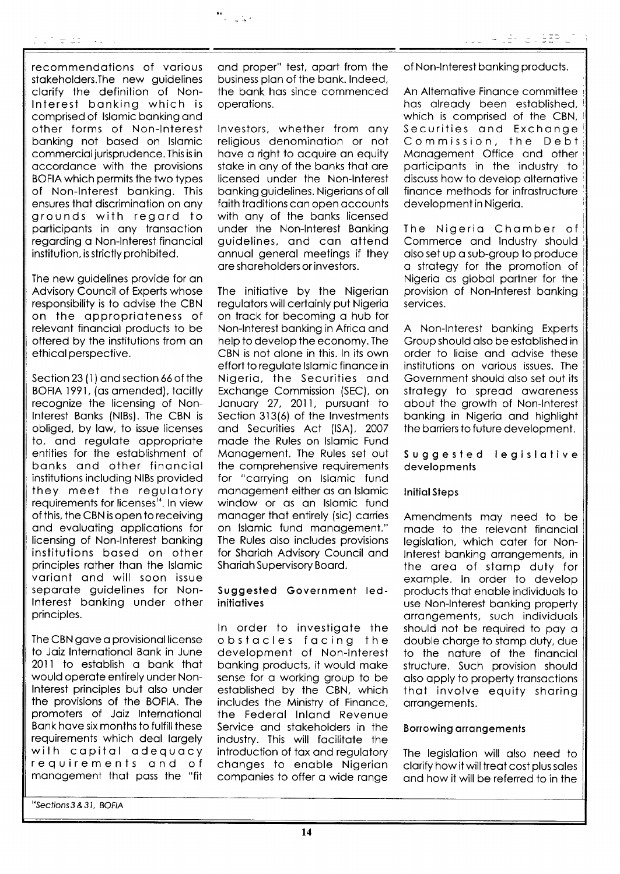recommendotions of vorious stokeholders.The new guidelines clorify the definition of Nonlnterest bonking which is comprised of lslomic bonking ond other forms of Non-lnterest bonking not bosed on lslomic commerciol jurisprudence. This is in accordance with the provisions<br>BOFIA which permits the two types of Non-Interest banking. This ensures that discrimination on any grounds with regord to participants in any transaction regording o Non-lnterest finonciol institution, is strictly prohibited.

The new guidelines provide for on Advisory Council of Experts whose responsibility is to odvise the CBN on the opproprioteness of relevont finonciol products to be offered by the institutions from on ethicol perspective.

Section 23 (1) and section 66 of the BOFIA )991, (os omended), tocitly recognize the licensing of Nonlnterest Bonks (NlBs). The CBN is obliged, by law, to issue licenses to, ond regulote oppropriote entities for the estoblishment of bonks ond other finonciol institutions including NlBs provided they meet the regulotory requirements for licenses''. ln view of this, the CBN is open to receiving ond evoluoting opplicotions for licensing of Non-lnterest bonking institutions bosed on other principles rother thon the lslomic voriont ond will soon issue separate guidelines for Nonlnterest bonking under other principles.

The CBN gove o provisionollicense to Joiz lnternotionol Bonk in June 2O1l to estoblish o bonk thot would operote entirely under Nonlnterest principles but olso under the provisions of the BOFIA. The promoters of Joiz lnternotionol Bank have six months to fulfill these requirements which deol lorgely with copitol odequocy requirements ond of monogement thot poss the "fit

''secfions3&31, BOFIA

ond proper" test, oport from the business plon of the bonk. lndeed, the bonk hos since commenced operotions.

 $\frac{44}{\pi} \frac{1}{\pi} \frac{1}{\ln 2}$ 

lnvestors, whether from ony religious denomination or not have a right to acquire an equity stoke in ony of the bonks thot ore licensed under the Non-lnterest bonking guidelines. Nigerions of oll foith troditions con open occounts with ony of the bonks licensed under the Non-lnterest Bonking guidelines, ond con ottend onnuol generol meetings if they ore shoreholders or investors.

The initiotive by the Nigerion regulotors will certoinly put Nigerio on trock for becoming o hub for Non-lnterest bonking in Africo ond help to develop the economy. The CBN is not olone in this. ln its own effort to regulote lslomic finonce in Nigerio, the Securities ond Exchonge Commission (SEC), on Jonuory 27, 2011, pursuont to Section 313(6) of the Investments ond Securities Act (lSA), <sup>2007</sup> mode the Rules on lslomic Fund Monogement. The Rules set out the comprehensive requirements for "corrying on lslomic fund monogement either os on lslomic window or as an Islamic fund manager that entirely (sic) carries on lslomic fund monogement." The Rules also includes provisions for Shariah Advisory Council and Shariah Supervisory Board.

#### Suggested Government ledinitiatives

ln order to investigote the obstocles focing the development of Non-lnterest bonking products, it would moke sense for o working group to be estoblished by the CBN, which includes the Ministry of Finonce, the Federol lnlond Revenue Service ond stokeholders in the industry. This will focilitote the introduction of tox ond regulotory chonges to enoble Nigerion companies to offer a wide range

of Non-lnterest bonking products.

An Alternotive Finonce committee hos olreody been estoblished, which is comprised of the CBN, Securities ond Exchonge Commission, the Debt Management Office and other porticiponts in the industry to discuss how to develop olternotive finonce methods for infrostructure developmentin Nigerio

The Nigerio Chomber of Commerce ond lndustry should olso set up o sub-group to produce o strotegy for the promotion of Nigerio os globol portner for the provision of Non-lnterest bonking services.

A Non-lnterest bonking Experts Group should olso be estoblished in order to lioise ond odvise these institutions on vorious issues. The Government should olso set out its strategy to spread awareness obout the growth of Non-lnterest bonking in Nigerio ond highlight the borriers to future development.

#### Suggesled legislotive developments

#### **Initial Steps**

Amendments moy need to be made to the relevant financial legislotion, which coter for Nonlnterest bonking orrongements, in the oreo of stomp duty for exomple. ln order to develop products thot enoble individuols to use Non-lnterest bonking property orrongements, such individuols should not be required to poy o double chorge to stomp duty, due to the noture of the finonciol structure. Such provision should also apply to property transactions thot involve equity shoring orrongements.

#### Borrowing arrangements

The legislotion will olso need to clarify how it will treat cost plus sales ond how it will be referred to in the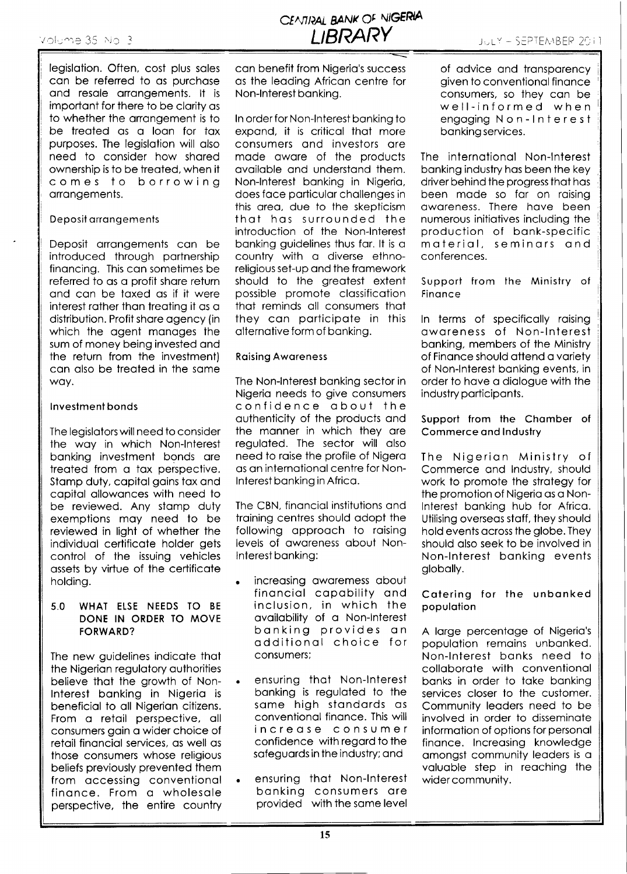legislotion. Often, cost plus soles con be referred to os purchose and resale arrangements. It is importont for there to be clority os to whether the arrangement is to be treoted os o loon for tox purposes. The legislation will also need to consider how shared ownership is to be treated, when it comes to borrowing orrongements.

#### Deposil orrongements

Deposit orrongements con be introduced through portnership finoncing. This con sometimes be referred to as a profit share return ond con be toxed os if it were interest rother thon treoting it os o distribution. Profit share agency (in which the agent manages the sum of money being invested ond the return from the investment) con olso be treoted in the some woy.

### lnvestment bonds

The legislotors will need to consider the woy in which Non-lnterest bonking investment bonds ore treoted from o tox perspective. Stamp duty, capital gains tax and copitol ollowonces with need to be reviewed. Any stomp duty exemptions moy need to be reviewed in light of whether the individuol certificote holder gets control of the issuing vehicles ossets by virtue of the certificote holding.

#### 5.0 WHAT ELSE NEEDS TO BE DONE IN ORDER TO MOVE FORWARD?

The new guidelines indicote thot the Nigerian regulatory authorities believe thot the growth of Non-Interest banking in Nigeria is beneficiol to oll Nigerion citizens. From o retoil perspective, oll consumers goin o wider choice of retoil finonciol services, os well os those consumers whose religious beliefs previously prevented them <sup>f</sup>rom occessing conventionol finonce. From o wholesole perspective, the entire country con benefit from Nigerio's success os the leoding Africon centre for Non-lnterest bonking.

ln order for Non-lnterest bonking to expond, it is criticol thot more consumers ond investors ore mode owore of the products ovoiloble ond understond them. Non-lnterest bonking in Nigerio, does foce porticulor chollenges in this oreo, due to the skepticism thot hos surrounded the introduction of the Non-lnterest banking guidelines thus far. It is a country with o diverse ethnoreligious set-up and the framework should to the greotest extent possible promote classification thot reminds oll consumers thot they con porticipote in this alternative form of banking.

#### Roising Aworeness

The Non-lnterest bonking sector in Nigerio needs to give consumers confidence obout the outhenticity of the products ond the monner in which they ore reguloted. The sector will olso need to roise the profile of Nigero as an international centre for Nonlnterest bonking in Africo.

The CBN, financial institutions and troining centres should odopt the following approach to raising levels of oworeness obout Nonlnterest bonking:

- increosing oworemess obout finonciol copobility ond inclusion, in which the ovoilobility of o Non-lnterest bonking provides on odditionol choice for consumers; o
- a ensuring thot Non-lnterest bonking is reguloted to the some high stondords os conventional finance. This will increose consumer confidence with regord to the sofeguords in the industry; ond
- a ensuring thot Non-lnterest bonking consumers ore provided with the some level

of advice and transparency given to conventionol finonce consumers, so they con be well-informed when engaging Non-Interest bonking services.

The internotionol Non-lnterest bonking industry hos been the key driver behind the progress thot hos been made so far on raising oworeness. There hove been numerous initiotives including the production of bank-specific moteriol, seminors ond conferences.

Support from the Ministry of **Finance** 

ln terms of specificolly roising oworeness of Non-lnterest bonking, members of the Ministry of Finonce should ottend o voriety of Non-lnterest bonking events, in order to hove o diologue with the industry porticiponts.

Supporl from the Chomber of Commerce ond lnduslry

The Nigerion Ministry of Commerce ond lndustry, should work to promote the strategy for the promotion of Nigerio os o Nonlnterest bonking hub for Africo. Utilising overseos stoff, they should hold events ocross the globe. They should olso seek to be involved in Non-lnterest bonking events globolly.

### Catering for the unbanked population

A large percentage of Nigeria's population remains unbanked. Non-lnterest bonks need to collaborate with conventional banks in order to take banking services closer to the customer. Community leoders need to be involved in order to disseminote informotion of options for personol finance. Increasing knowledge omongst community leoders is o valuable step in reaching the widercommunity.